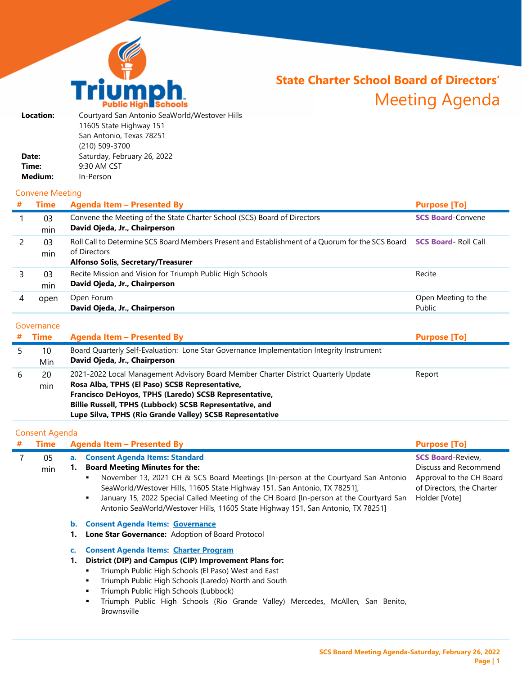

# **State Charter School Board of Directors'**  Meeting Agenda

| Location: | Courtyard San Antonio SeaWorld/Westover Hills |
|-----------|-----------------------------------------------|
|           | 11605 State Highway 151                       |
|           | San Antonio, Texas 78251                      |
|           | (210) 509-3700                                |
| Date:     | Saturday, February 26, 2022                   |
| Time:     | 9:30 AM CST                                   |
| Medium:   | In-Person                                     |
|           |                                               |

## Convene Meeting

| # | <b>Time</b> | <b>Agenda Item - Presented By</b>                                                                                                                                                        | <b>Purpose [To]</b>           |
|---|-------------|------------------------------------------------------------------------------------------------------------------------------------------------------------------------------------------|-------------------------------|
|   | 03<br>min   | Convene the Meeting of the State Charter School (SCS) Board of Directors<br>David Ojeda, Jr., Chairperson                                                                                | <b>SCS Board-Convene</b>      |
|   | 03<br>min   | Roll Call to Determine SCS Board Members Present and Establishment of a Quorum for the SCS Board <b>SCS Board-Roll Call</b><br>of Directors<br><b>Alfonso Solis, Secretary/Treasurer</b> |                               |
|   | 03<br>min   | Recite Mission and Vision for Triumph Public High Schools<br>David Ojeda, Jr., Chairperson                                                                                               | Recite                        |
|   | open        | Open Forum<br>David Ojeda, Jr., Chairperson                                                                                                                                              | Open Meeting to the<br>Public |

### **Governance**

|   | <b>Time</b> | <b>Agenda Item - Presented By</b>                                                                                                                                                                                                                                                                                    | <b>Purpose [To]</b> |
|---|-------------|----------------------------------------------------------------------------------------------------------------------------------------------------------------------------------------------------------------------------------------------------------------------------------------------------------------------|---------------------|
|   | 10<br>Min   | Board Quarterly Self-Evaluation: Lone Star Governance Implementation Integrity Instrument<br>David Ojeda, Jr., Chairperson                                                                                                                                                                                           |                     |
| b | 20<br>min   | 2021-2022 Local Management Advisory Board Member Charter District Quarterly Update<br>Rosa Alba, TPHS (El Paso) SCSB Representative,<br>Francisco DeHoyos, TPHS (Laredo) SCSB Representative,<br>Billie Russell, TPHS (Lubbock) SCSB Representative, and<br>Lupe Silva, TPHS (Rio Grande Valley) SCSB Representative | Report              |

## Consent Agenda

| # | <b>Time</b> | <b>Agenda Item - Presented By</b>                                                                                                                                                                                                                                                                                                                                                                                                               | <b>Purpose [To]</b>                                                                                                         |
|---|-------------|-------------------------------------------------------------------------------------------------------------------------------------------------------------------------------------------------------------------------------------------------------------------------------------------------------------------------------------------------------------------------------------------------------------------------------------------------|-----------------------------------------------------------------------------------------------------------------------------|
|   | 05<br>min   | <b>Consent Agenda Items: Standard</b><br>a.<br><b>Board Meeting Minutes for the:</b><br>November 13, 2021 CH & SCS Board Meetings [In-person at the Courtyard San Antonio<br>٠<br>SeaWorld/Westover Hills, 11605 State Highway 151, San Antonio, TX 78251],<br>January 15, 2022 Special Called Meeting of the CH Board [In-person at the Courtyard San<br>٠<br>Antonio SeaWorld/Westover Hills, 11605 State Highway 151, San Antonio, TX 78251] | <b>SCS Board-Review,</b><br>Discuss and Recommend<br>Approval to the CH Board<br>of Directors, the Charter<br>Holder [Vote] |
|   |             | <b>Consent Agenda Items: Governance</b><br>b.<br>Lone Star Governance: Adoption of Board Protocol                                                                                                                                                                                                                                                                                                                                               |                                                                                                                             |
|   |             | <b>Consent Agenda Items: Charter Program</b><br>District (DIP) and Campus (CIP) Improvement Plans for:<br>1.<br>Triumph Public High Schools (El Paso) West and East<br>٠<br>Triumph Public High Schools (Laredo) North and South<br>٠<br>Triumph Public High Schools (Lubbock)<br>٠<br>Triumph Public High Schools (Rio Grande Valley) Mercedes, McAllen, San Benito,<br>٠<br><b>Brownsville</b>                                                |                                                                                                                             |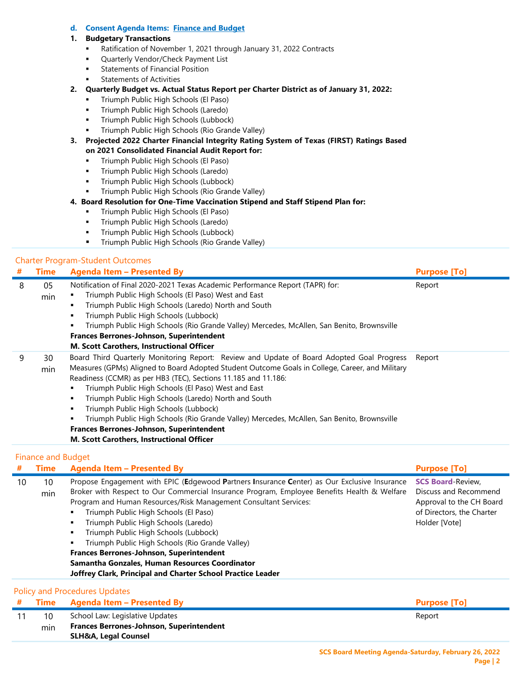#### **d. Consent Agenda Items: Finance and Budget**

#### **1. Budgetary Transactions**

- Ratification of November 1, 2021 through January 31, 2022 Contracts
- Quarterly Vendor/Check Payment List
- **Statements of Financial Position**
- Statements of Activities
- **2. Quarterly Budget vs. Actual Status Report per Charter District as of January 31, 2022:**
	- **Triumph Public High Schools (El Paso)**
	- **Triumph Public High Schools (Laredo)**
	- **Triumph Public High Schools (Lubbock)**
	- Triumph Public High Schools (Rio Grande Valley)
- **3. Projected 2022 Charter Financial Integrity Rating System of Texas (FIRST) Ratings Based on 2021 Consolidated Financial Audit Report for:**
	- **Triumph Public High Schools (El Paso)**
	- **Triumph Public High Schools (Laredo)**
	- **Triumph Public High Schools (Lubbock)**
	- Triumph Public High Schools (Rio Grande Valley)
- **4. Board Resolution for One-Time Vaccination Stipend and Staff Stipend Plan for:**
	- **Triumph Public High Schools (El Paso)**
	- **Triumph Public High Schools (Laredo)**
	- **Triumph Public High Schools (Lubbock)**
	- **Triumph Public High Schools (Rio Grande Valley)**

#### Charter Program-Student Outcomes

| # | Time      | Agenda Item - Presented By                                                                                                                                                                                                                                                                                                                                                                                                                                                                                                                                                                                                | <b>Purpose [To]</b> |
|---|-----------|---------------------------------------------------------------------------------------------------------------------------------------------------------------------------------------------------------------------------------------------------------------------------------------------------------------------------------------------------------------------------------------------------------------------------------------------------------------------------------------------------------------------------------------------------------------------------------------------------------------------------|---------------------|
| 8 | 05<br>min | Notification of Final 2020-2021 Texas Academic Performance Report (TAPR) for:<br>Triumph Public High Schools (El Paso) West and East<br>Triumph Public High Schools (Laredo) North and South<br>Triumph Public High Schools (Lubbock)<br>Triumph Public High Schools (Rio Grande Valley) Mercedes, McAllen, San Benito, Brownsville<br>Frances Berrones-Johnson, Superintendent<br>M. Scott Carothers, Instructional Officer                                                                                                                                                                                              | Report              |
| 9 | 30<br>min | Board Third Quarterly Monitoring Report: Review and Update of Board Adopted Goal Progress<br>Measures (GPMs) Aligned to Board Adopted Student Outcome Goals in College, Career, and Military<br>Readiness (CCMR) as per HB3 (TEC), Sections 11.185 and 11.186:<br>Triumph Public High Schools (El Paso) West and East<br>Triumph Public High Schools (Laredo) North and South<br>٠<br>Triumph Public High Schools (Lubbock)<br>Triumph Public High Schools (Rio Grande Valley) Mercedes, McAllen, San Benito, Brownsville<br>Frances Berrones-Johnson, Superintendent<br><b>M. Scott Carothers, Instructional Officer</b> | Report              |

#### Finance and Budget

| #  | <b>Time</b> | <b>Agenda Item - Presented By</b>                                                            | <b>Purpose [To]</b>       |
|----|-------------|----------------------------------------------------------------------------------------------|---------------------------|
| 10 | 10          | Propose Engagement with EPIC (Edgewood Partners Insurance Center) as Our Exclusive Insurance | <b>SCS Board-Review,</b>  |
|    | min         | Broker with Respect to Our Commercial Insurance Program, Employee Benefits Health & Welfare  | Discuss and Recommend     |
|    |             | Program and Human Resources/Risk Management Consultant Services:                             | Approval to the CH Board  |
|    |             | Triumph Public High Schools (El Paso)<br>п                                                   | of Directors, the Charter |
|    |             | Triumph Public High Schools (Laredo)<br>٠                                                    | Holder [Vote]             |
|    |             | Triumph Public High Schools (Lubbock)<br>$\blacksquare$                                      |                           |
|    |             | Triumph Public High Schools (Rio Grande Valley)<br>п                                         |                           |
|    |             | Frances Berrones-Johnson, Superintendent                                                     |                           |
|    |             | Samantha Gonzales, Human Resources Coordinator                                               |                           |
|    |             | Joffrey Clark, Principal and Charter School Practice Leader                                  |                           |
|    |             | <b>Policy and Procedures Updates</b>                                                         |                           |
| #  | Time        | <b>Agenda Item - Presented By</b>                                                            | <b>Purpose [To]</b>       |
| 11 | 10          | School Law: Legislative Updates                                                              | Report                    |
|    | min         | <b>Frances Berrones-Johnson, Superintendent</b>                                              |                           |
|    |             | <b>SLH&amp;A, Legal Counsel</b>                                                              |                           |